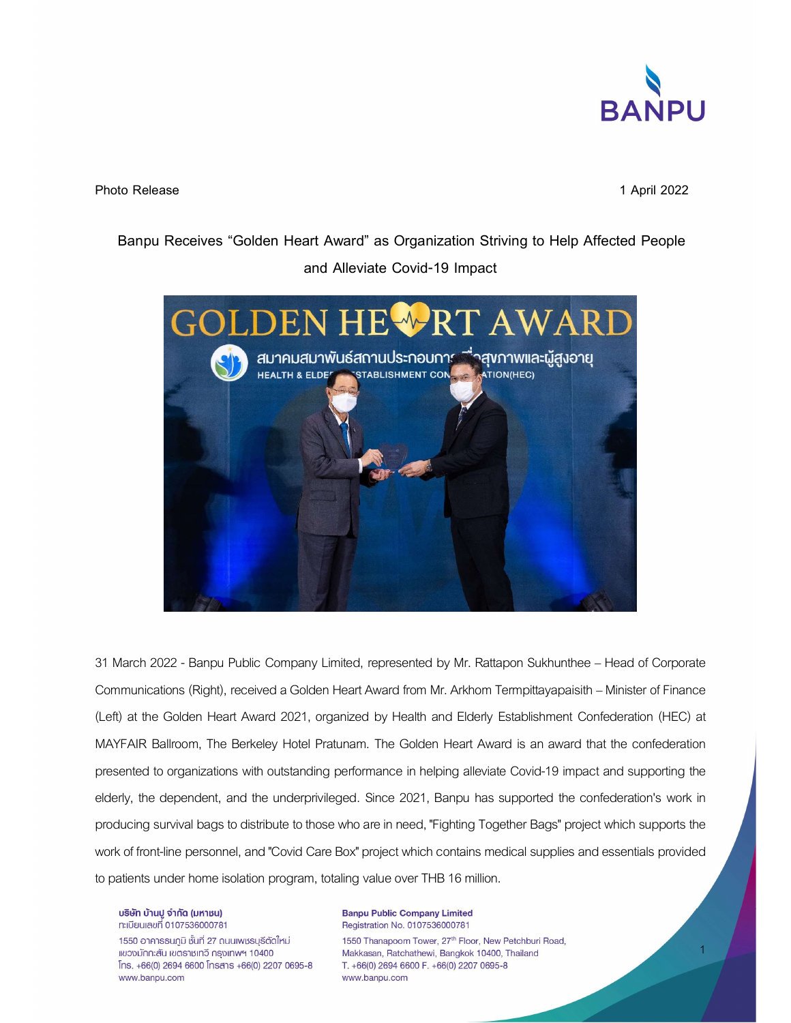

Photo Release 2022

Banpu Receives "Golden Heart Award" as Organization Striving to Help Affected People and Alleviate Covid-19 Impact



31 March 2022 - Banpu Public Company Limited, represented by Mr. Rattapon Sukhunthee – Head of Corporate Communications (Right), received a Golden Heart Award from Mr. Arkhom Termpittayapaisith – Minister of Finance (Left) at the Golden Heart Award 2021, organized by Health and Elderly Establishment Confederation (HEC) at MAYFAIR Ballroom, The Berkeley Hotel Pratunam. The Golden Heart Award is an award that the confederation presented to organizations with outstanding performance in helping alleviate Covid-19 impact and supporting the elderly, the dependent, and the underprivileged. Since 2021, Banpu has supported the confederation's work in producing survival bags to distribute to those who are in need, "Fighting Together Bags" project which supports the work of front-line personnel, and "Covid Care Box" project which contains medical supplies and essentials provided to patients under home isolation program, totaling value over THB 16 million.

บริษัท บ้านปู จำกัด (มหาชน) n:เบียนเลขที่ 0107536000781

1550 อาคารธนภูมิ ชั้นที่ 27 ถนนเพชรบุรีตัดใหม่ แขวงมักกะสัน เขตราชเทวี กรุงเทพฯ 10400  $[$ ns. +66(0) 2694 6600  $[$ nsans +66(0) 2207 0695-8 www.banpu.com

**Banpu Public Company Limited** Registration No. 0107536000781 1550 Thanapoom Tower, 27th Floor, New Petchburi Road, Makkasan, Ratchathewi, Bangkok 10400, Thailand T. +66(0) 2694 6600 F. +66(0) 2207 0695-8 www.banpu.com

1